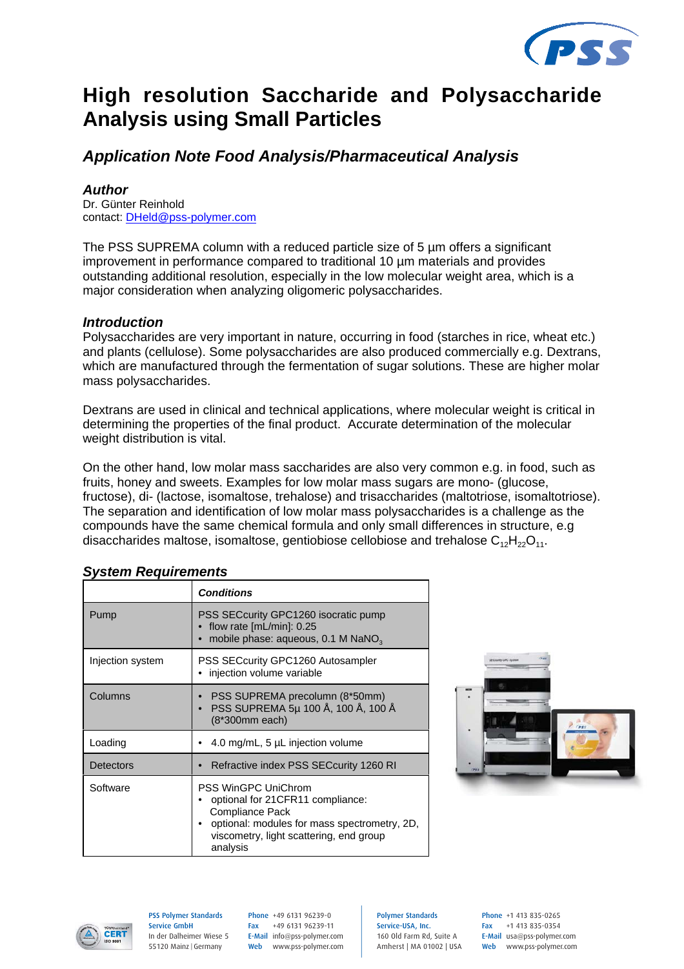

# **High resolution Saccharide and Polysaccharide Analysis using Small Particles**

## *Application Note Food Analysis/Pharmaceutical Analysis*

#### *Author*

Dr. Günter Reinhold contact: DHeld@pss-polymer.com

The PSS SUPREMA column with a reduced particle size of 5 um offers a significant improvement in performance compared to traditional 10 µm materials and provides outstanding additional resolution, especially in the low molecular weight area, which is a major consideration when analyzing oligomeric polysaccharides.

#### *Introduction*

Polysaccharides are very important in nature, occurring in food (starches in rice, wheat etc.) and plants (cellulose). Some polysaccharides are also produced commercially e.g. Dextrans, which are manufactured through the fermentation of sugar solutions. These are higher molar mass polysaccharides.

Dextrans are used in clinical and technical applications, where molecular weight is critical in determining the properties of the final product. Accurate determination of the molecular weight distribution is vital.

On the other hand, low molar mass saccharides are also very common e.g. in food, such as fruits, honey and sweets. Examples for low molar mass sugars are mono- (glucose, fructose), di- (lactose, isomaltose, trehalose) and trisaccharides (maltotriose, isomaltotriose). The separation and identification of low molar mass polysaccharides is a challenge as the compounds have the same chemical formula and only small differences in structure, e.g disaccharides maltose, isomaltose, gentiobiose cellobiose and trehalose  $C_{12}H_{22}O_{11}$ .

|                  | <b>Conditions</b>                                                                                                                                                                               |
|------------------|-------------------------------------------------------------------------------------------------------------------------------------------------------------------------------------------------|
| Pump             | PSS SECcurity GPC1260 isocratic pump<br>flow rate $[mL/min]$ : 0.25<br>mobile phase: aqueous, 0.1 M NaNO <sub>3</sub>                                                                           |
| Injection system | PSS SECcurity GPC1260 Autosampler<br>injection volume variable                                                                                                                                  |
| Columns          | PSS SUPREMA precolumn (8*50mm)<br>PSS SUPREMA 5µ 100 Å, 100 Å, 100 Å<br>(8*300mm each)                                                                                                          |
| Loading          | 4.0 mg/mL, 5 µL injection volume                                                                                                                                                                |
| <b>Detectors</b> | Refractive index PSS SECcurity 1260 RI                                                                                                                                                          |
| Software         | <b>PSS WinGPC UniChrom</b><br>optional for 21CFR11 compliance:<br><b>Compliance Pack</b><br>optional: modules for mass spectrometry, 2D,<br>viscometry, light scattering, end group<br>analysis |

### *System Requirements*





PSS Polymer Standards Service GmbH In der Dalheimer Wiese 5 55120 Mainz |Germany

Phone +49 6131 96239-0 Fax +49 6131 96239-11 E-Mail info@pss-polymer.com Web www.pss-polymer.com Polymer Standards Service-USA, Inc. 160 Old Farm Rd, Suite A Amherst | MA 01002 | USA Phone +1 413 835-0265 Fax +1 413 835-0354 E-Mail usa@pss-polymer.com Web www.pss-polymer.com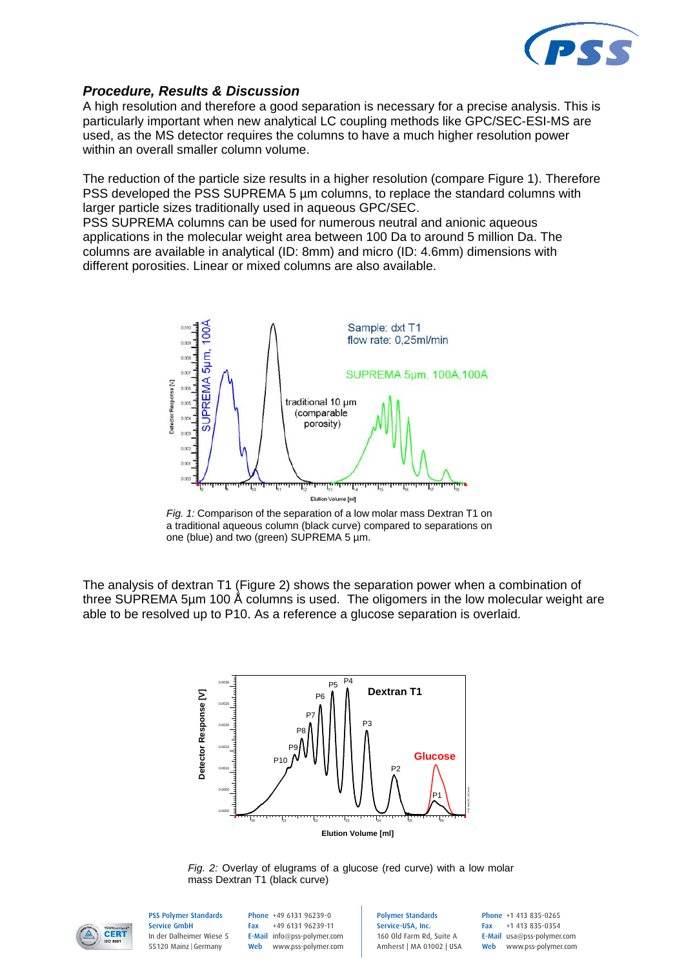

#### *Procedure, Results & Discussion*

A high resolution and therefore a good separation is necessary for a precise analysis. This is particularly important when new analytical LC coupling methods like GPC/SEC-ESI-MS are used, as the MS detector requires the columns to have a much higher resolution power within an overall smaller column volume.

The reduction of the particle size results in a higher resolution (compare Figure 1). Therefore PSS developed the PSS SUPREMA 5 µm columns, to replace the standard columns with larger particle sizes traditionally used in aqueous GPC/SEC.

PSS SUPREMA columns can be used for numerous neutral and anionic aqueous applications in the molecular weight area between 100 Da to around 5 million Da. The columns are available in analytical (ID: 8mm) and micro (ID: 4.6mm) dimensions with different porosities. Linear or mixed columns are also available.



*Fig. 1:* Comparison of the separation of a low molar mass Dextran T1 on a traditional aqueous column (black curve) compared to separations on one (blue) and two (green) SUPREMA 5 µm.

The analysis of dextran T1 (Figure 2) shows the separation power when a combination of three SUPREMA 5µm 100 Å columns is used. The oligomers in the low molecular weight are able to be resolved up to P10. As a reference a glucose separation is overlaid.



*Fig. 2:* Overlay of elugrams of a glucose (red curve) with a low molar mass Dextran T1 (black curve)



PSS Polymer Standards Service GmbH In der Dalheimer Wiese 5 55120 Mainz |Germany

Phone +49 6131 96239-0 Fax +49 6131 96239-11 E-Mail info@pss-polymer.com Web www.pss-polymer.com Polymer Standards Service-USA, Inc. 160 Old Farm Rd, Suite A Amherst | MA 01002 | USA Phone +1 413 835-0265 Fax +1 413 835-0354 E-Mail usa@pss-polymer.com Web www.pss-polymer.com